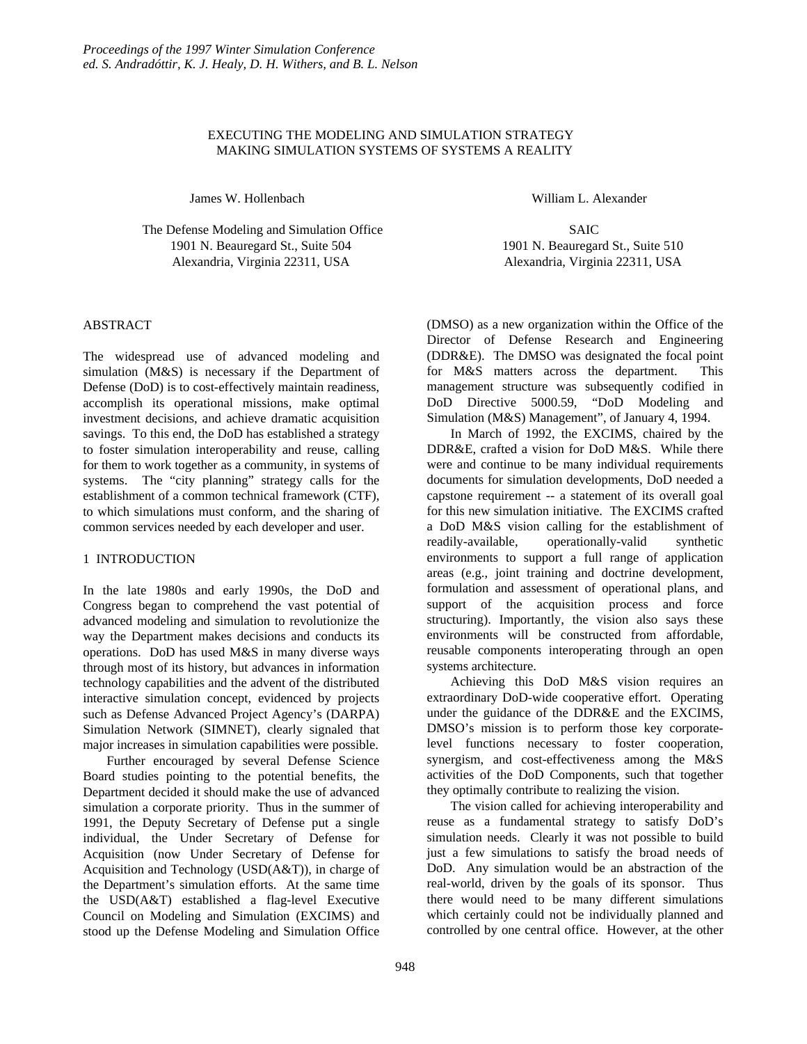## EXECUTING THE MODELING AND SIMULATION STRATEGY MAKING SIMULATION SYSTEMS OF SYSTEMS A REALITY

James W. Hollenbach William L. Alexander

The Defense Modeling and Simulation Office SAIC 1901 N. Beauregard St., Suite 504 1901 N. Beauregard St., Suite 510 Alexandria, Virginia 22311, USA Alexandria, Virginia 22311, USA

## ABSTRACT

The widespread use of advanced modeling and simulation (M&S) is necessary if the Department of Defense (DoD) is to cost-effectively maintain readiness, accomplish its operational missions, make optimal investment decisions, and achieve dramatic acquisition savings. To this end, the DoD has established a strategy to foster simulation interoperability and reuse, calling for them to work together as a community, in systems of systems. The "city planning" strategy calls for the establishment of a common technical framework (CTF), to which simulations must conform, and the sharing of common services needed by each developer and user.

## 1 INTRODUCTION

In the late 1980s and early 1990s, the DoD and Congress began to comprehend the vast potential of advanced modeling and simulation to revolutionize the way the Department makes decisions and conducts its operations. DoD has used M&S in many diverse ways through most of its history, but advances in information technology capabilities and the advent of the distributed interactive simulation concept, evidenced by projects such as Defense Advanced Project Agency's (DARPA) Simulation Network (SIMNET), clearly signaled that major increases in simulation capabilities were possible.

Further encouraged by several Defense Science Board studies pointing to the potential benefits, the Department decided it should make the use of advanced simulation a corporate priority. Thus in the summer of 1991, the Deputy Secretary of Defense put a single individual, the Under Secretary of Defense for Acquisition (now Under Secretary of Defense for Acquisition and Technology (USD(A&T)), in charge of the Department's simulation efforts. At the same time the USD(A&T) established a flag-level Executive Council on Modeling and Simulation (EXCIMS) and stood up the Defense Modeling and Simulation Office

(DMSO) as a new organization within the Office of the Director of Defense Research and Engineering (DDR&E). The DMSO was designated the focal point for M&S matters across the department. This management structure was subsequently codified in DoD Directive 5000.59, "DoD Modeling and Simulation (M&S) Management", of January 4, 1994.

In March of 1992, the EXCIMS, chaired by the DDR&E, crafted a vision for DoD M&S. While there were and continue to be many individual requirements documents for simulation developments, DoD needed a capstone requirement -- a statement of its overall goal for this new simulation initiative. The EXCIMS crafted a DoD M&S vision calling for the establishment of readily-available, operationally-valid synthetic environments to support a full range of application areas (e.g., joint training and doctrine development, formulation and assessment of operational plans, and support of the acquisition process and force structuring). Importantly, the vision also says these environments will be constructed from affordable, reusable components interoperating through an open systems architecture.

Achieving this DoD M&S vision requires an extraordinary DoD-wide cooperative effort. Operating under the guidance of the DDR&E and the EXCIMS, DMSO's mission is to perform those key corporatelevel functions necessary to foster cooperation, synergism, and cost-effectiveness among the M&S activities of the DoD Components, such that together they optimally contribute to realizing the vision.

The vision called for achieving interoperability and reuse as a fundamental strategy to satisfy DoD's simulation needs. Clearly it was not possible to build just a few simulations to satisfy the broad needs of DoD. Any simulation would be an abstraction of the real-world, driven by the goals of its sponsor. Thus there would need to be many different simulations which certainly could not be individually planned and controlled by one central office. However, at the other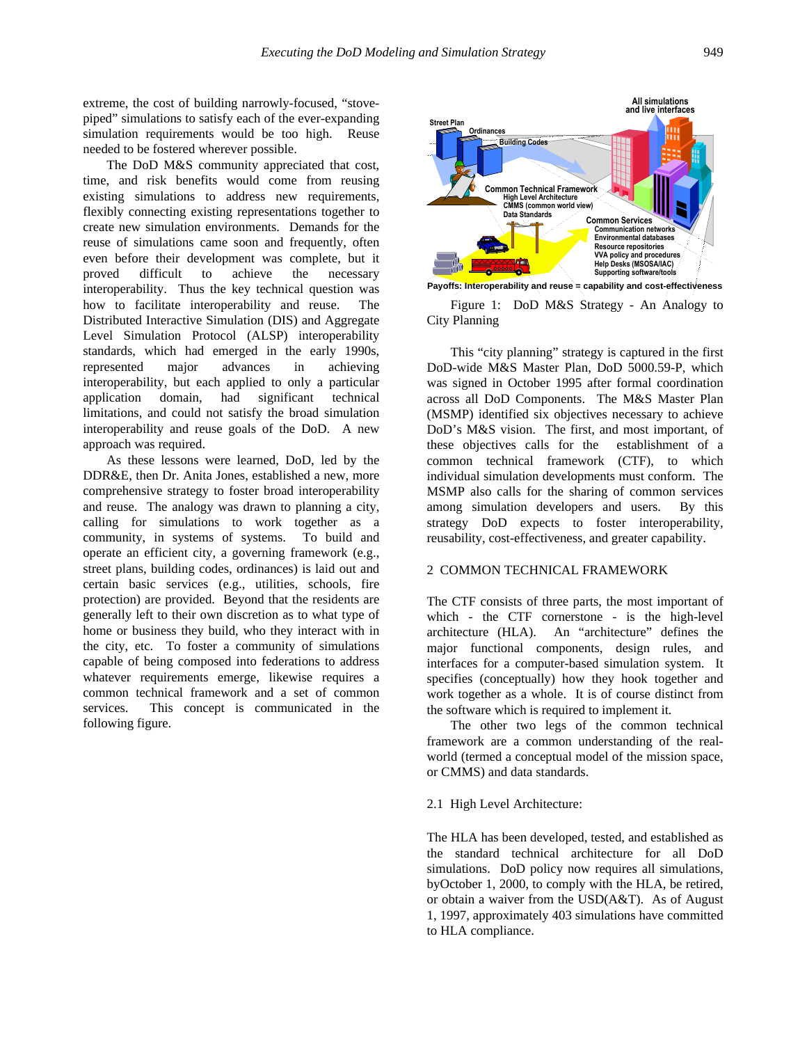extreme, the cost of building narrowly-focused, "stovepiped" simulations to satisfy each of the ever-expanding simulation requirements would be too high. Reuse needed to be fostered wherever possible.

The DoD M&S community appreciated that cost, time, and risk benefits would come from reusing existing simulations to address new requirements, flexibly connecting existing representations together to create new simulation environments. Demands for the reuse of simulations came soon and frequently, often even before their development was complete, but it proved difficult to achieve the necessary interoperability. Thus the key technical question was how to facilitate interoperability and reuse. The Distributed Interactive Simulation (DIS) and Aggregate Level Simulation Protocol (ALSP) interoperability standards, which had emerged in the early 1990s, represented major advances in achieving interoperability, but each applied to only a particular application domain, had significant technical limitations, and could not satisfy the broad simulation interoperability and reuse goals of the DoD. A new approach was required.

As these lessons were learned, DoD, led by the DDR&E, then Dr. Anita Jones, established a new, more comprehensive strategy to foster broad interoperability and reuse. The analogy was drawn to planning a city, calling for simulations to work together as a community, in systems of systems. To build and operate an efficient city, a governing framework (e.g., street plans, building codes, ordinances) is laid out and certain basic services (e.g., utilities, schools, fire protection) are provided. Beyond that the residents are generally left to their own discretion as to what type of home or business they build, who they interact with in the city, etc. To foster a community of simulations capable of being composed into federations to address whatever requirements emerge, likewise requires a common technical framework and a set of common services. This concept is communicated in the following figure.



Figure 1: DoD M&S Strategy - An Analogy to City Planning

This "city planning" strategy is captured in the first DoD-wide M&S Master Plan, DoD 5000.59-P, which was signed in October 1995 after formal coordination across all DoD Components. The M&S Master Plan (MSMP) identified six objectives necessary to achieve DoD's M&S vision. The first, and most important, of these objectives calls for the establishment of a common technical framework (CTF), to which individual simulation developments must conform. The MSMP also calls for the sharing of common services among simulation developers and users. By this strategy DoD expects to foster interoperability, reusability, cost-effectiveness, and greater capability.

#### 2 COMMON TECHNICAL FRAMEWORK

The CTF consists of three parts, the most important of which - the CTF cornerstone - is the high-level architecture (HLA). An "architecture" defines the major functional components, design rules, and interfaces for a computer-based simulation system. It specifies (conceptually) how they hook together and work together as a whole. It is of course distinct from the software which is required to implement it.

The other two legs of the common technical framework are a common understanding of the realworld (termed a conceptual model of the mission space, or CMMS) and data standards.

#### 2.1 High Level Architecture:

The HLA has been developed, tested, and established as the standard technical architecture for all DoD simulations. DoD policy now requires all simulations, byOctober 1, 2000, to comply with the HLA, be retired, or obtain a waiver from the USD(A&T). As of August 1, 1997, approximately 403 simulations have committed to HLA compliance.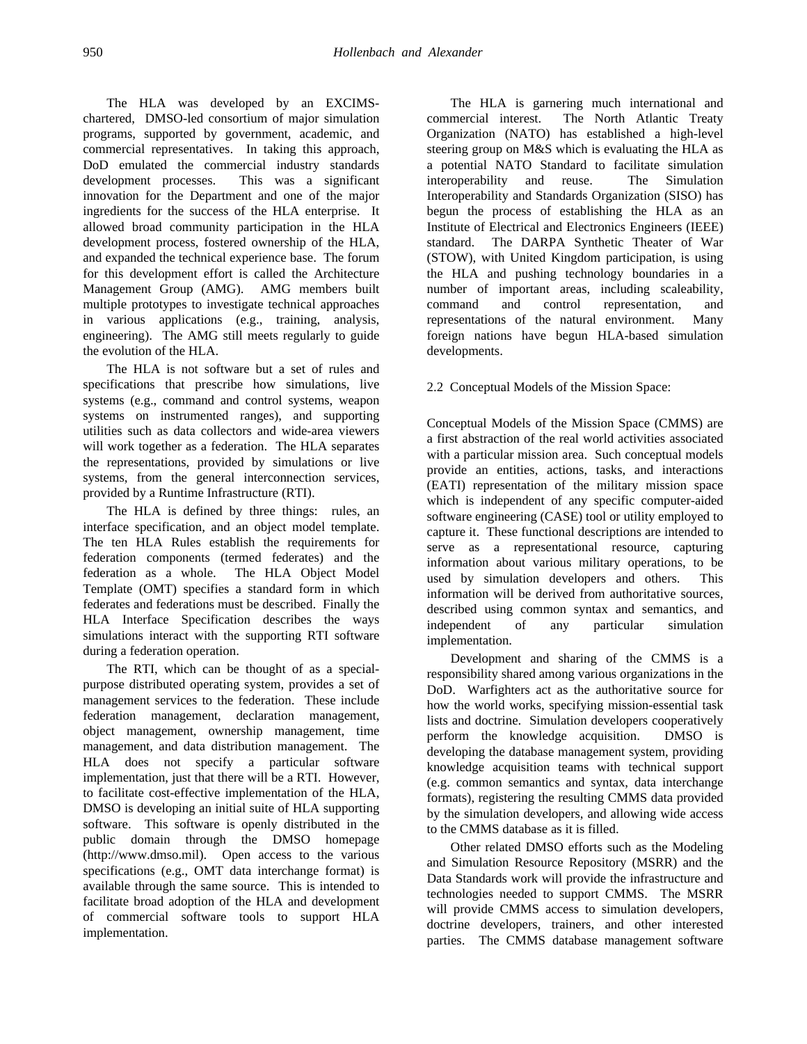The HLA was developed by an EXCIMSchartered, DMSO-led consortium of major simulation programs, supported by government, academic, and commercial representatives. In taking this approach, DoD emulated the commercial industry standards development processes. This was a significant innovation for the Department and one of the major ingredients for the success of the HLA enterprise. It allowed broad community participation in the HLA development process, fostered ownership of the HLA, and expanded the technical experience base. The forum for this development effort is called the Architecture Management Group (AMG). AMG members built multiple prototypes to investigate technical approaches in various applications (e.g., training, analysis, engineering). The AMG still meets regularly to guide the evolution of the HLA.

The HLA is not software but a set of rules and specifications that prescribe how simulations, live systems (e.g., command and control systems, weapon systems on instrumented ranges), and supporting utilities such as data collectors and wide-area viewers will work together as a federation. The HLA separates the representations, provided by simulations or live systems, from the general interconnection services, provided by a Runtime Infrastructure (RTI).

The HLA is defined by three things: rules, an interface specification, and an object model template. The ten HLA Rules establish the requirements for federation components (termed federates) and the federation as a whole. The HLA Object Model Template (OMT) specifies a standard form in which federates and federations must be described. Finally the HLA Interface Specification describes the ways simulations interact with the supporting RTI software during a federation operation.

The RTI, which can be thought of as a specialpurpose distributed operating system, provides a set of management services to the federation. These include federation management, declaration management, object management, ownership management, time management, and data distribution management. The HLA does not specify a particular software implementation, just that there will be a RTI. However, to facilitate cost-effective implementation of the HLA, DMSO is developing an initial suite of HLA supporting software. This software is openly distributed in the public domain through the DMSO homepage (http://www.dmso.mil). Open access to the various specifications (e.g., OMT data interchange format) is available through the same source. This is intended to facilitate broad adoption of the HLA and development of commercial software tools to support HLA implementation.

The HLA is garnering much international and commercial interest. The North Atlantic Treaty Organization (NATO) has established a high-level steering group on M&S which is evaluating the HLA as a potential NATO Standard to facilitate simulation interoperability and reuse. The Simulation Interoperability and Standards Organization (SISO) has begun the process of establishing the HLA as an Institute of Electrical and Electronics Engineers (IEEE) standard. The DARPA Synthetic Theater of War (STOW), with United Kingdom participation, is using the HLA and pushing technology boundaries in a number of important areas, including scaleability, command and control representation, and representations of the natural environment. Many foreign nations have begun HLA-based simulation developments.

### 2.2 Conceptual Models of the Mission Space:

Conceptual Models of the Mission Space (CMMS) are a first abstraction of the real world activities associated with a particular mission area. Such conceptual models provide an entities, actions, tasks, and interactions (EATI) representation of the military mission space which is independent of any specific computer-aided software engineering (CASE) tool or utility employed to capture it. These functional descriptions are intended to serve as a representational resource, capturing information about various military operations, to be used by simulation developers and others. This information will be derived from authoritative sources, described using common syntax and semantics, and independent of any particular simulation implementation.

Development and sharing of the CMMS is a responsibility shared among various organizations in the DoD. Warfighters act as the authoritative source for how the world works, specifying mission-essential task lists and doctrine. Simulation developers cooperatively perform the knowledge acquisition. DMSO is developing the database management system, providing knowledge acquisition teams with technical support (e.g. common semantics and syntax, data interchange formats), registering the resulting CMMS data provided by the simulation developers, and allowing wide access to the CMMS database as it is filled.

Other related DMSO efforts such as the Modeling and Simulation Resource Repository (MSRR) and the Data Standards work will provide the infrastructure and technologies needed to support CMMS. The MSRR will provide CMMS access to simulation developers, doctrine developers, trainers, and other interested parties. The CMMS database management software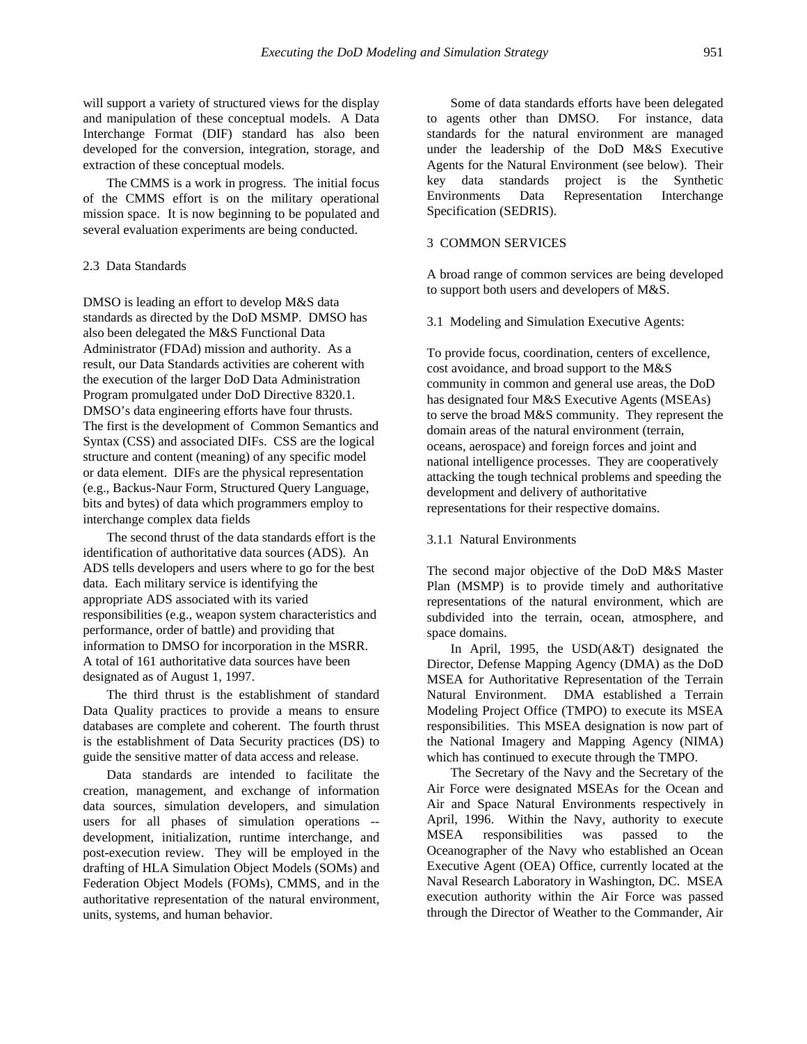will support a variety of structured views for the display and manipulation of these conceptual models. A Data Interchange Format (DIF) standard has also been developed for the conversion, integration, storage, and extraction of these conceptual models.

The CMMS is a work in progress. The initial focus of the CMMS effort is on the military operational mission space. It is now beginning to be populated and several evaluation experiments are being conducted.

#### 2.3 Data Standards

DMSO is leading an effort to develop M&S data standards as directed by the DoD MSMP. DMSO has also been delegated the M&S Functional Data Administrator (FDAd) mission and authority. As a result, our Data Standards activities are coherent with the execution of the larger DoD Data Administration Program promulgated under DoD Directive 8320.1. DMSO's data engineering efforts have four thrusts. The first is the development of Common Semantics and Syntax (CSS) and associated DIFs. CSS are the logical structure and content (meaning) of any specific model or data element. DIFs are the physical representation (e.g., Backus-Naur Form, Structured Query Language, bits and bytes) of data which programmers employ to interchange complex data fields

The second thrust of the data standards effort is the identification of authoritative data sources (ADS). An ADS tells developers and users where to go for the best data. Each military service is identifying the appropriate ADS associated with its varied responsibilities (e.g., weapon system characteristics and performance, order of battle) and providing that information to DMSO for incorporation in the MSRR. A total of 161 authoritative data sources have been designated as of August 1, 1997.

The third thrust is the establishment of standard Data Quality practices to provide a means to ensure databases are complete and coherent. The fourth thrust is the establishment of Data Security practices (DS) to guide the sensitive matter of data access and release.

Data standards are intended to facilitate the creation, management, and exchange of information data sources, simulation developers, and simulation users for all phases of simulation operations - development, initialization, runtime interchange, and post-execution review. They will be employed in the drafting of HLA Simulation Object Models (SOMs) and Federation Object Models (FOMs), CMMS, and in the authoritative representation of the natural environment, units, systems, and human behavior.

Some of data standards efforts have been delegated to agents other than DMSO. For instance, data standards for the natural environment are managed under the leadership of the DoD M&S Executive Agents for the Natural Environment (see below). Their key data standards project is the Synthetic Environments Data Representation Interchange Specification (SEDRIS).

### 3 COMMON SERVICES

A broad range of common services are being developed to support both users and developers of M&S.

3.1 Modeling and Simulation Executive Agents:

To provide focus, coordination, centers of excellence, cost avoidance, and broad support to the M&S community in common and general use areas, the DoD has designated four M&S Executive Agents (MSEAs) to serve the broad M&S community. They represent the domain areas of the natural environment (terrain, oceans, aerospace) and foreign forces and joint and national intelligence processes. They are cooperatively attacking the tough technical problems and speeding the development and delivery of authoritative representations for their respective domains.

#### 3.1.1 Natural Environments

The second major objective of the DoD M&S Master Plan (MSMP) is to provide timely and authoritative representations of the natural environment, which are subdivided into the terrain, ocean, atmosphere, and space domains.

In April, 1995, the USD(A&T) designated the Director, Defense Mapping Agency (DMA) as the DoD MSEA for Authoritative Representation of the Terrain Natural Environment. DMA established a Terrain Modeling Project Office (TMPO) to execute its MSEA responsibilities. This MSEA designation is now part of the National Imagery and Mapping Agency (NIMA) which has continued to execute through the TMPO.

The Secretary of the Navy and the Secretary of the Air Force were designated MSEAs for the Ocean and Air and Space Natural Environments respectively in April, 1996. Within the Navy, authority to execute MSEA responsibilities was passed to the Oceanographer of the Navy who established an Ocean Executive Agent (OEA) Office, currently located at the Naval Research Laboratory in Washington, DC. MSEA execution authority within the Air Force was passed through the Director of Weather to the Commander, Air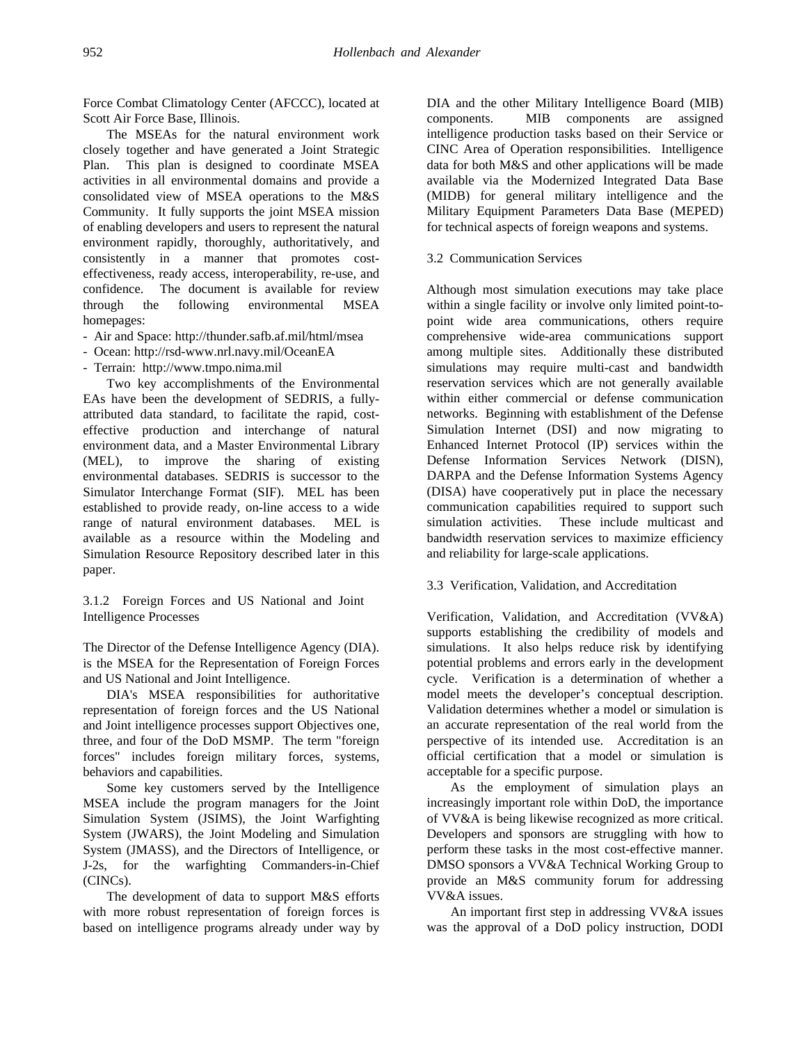Force Combat Climatology Center (AFCCC), located at Scott Air Force Base, Illinois.

The MSEAs for the natural environment work closely together and have generated a Joint Strategic Plan. This plan is designed to coordinate MSEA activities in all environmental domains and provide a consolidated view of MSEA operations to the M&S Community. It fully supports the joint MSEA mission of enabling developers and users to represent the natural environment rapidly, thoroughly, authoritatively, and consistently in a manner that promotes costeffectiveness, ready access, interoperability, re-use, and confidence. The document is available for review through the following environmental MSEA homepages:

- Air and Space: http://thunder.safb.af.mil/html/msea
- Ocean: http://rsd-www.nrl.navy.mil/OceanEA
- Terrain: http://www.tmpo.nima.mil

Two key accomplishments of the Environmental EAs have been the development of SEDRIS, a fullyattributed data standard, to facilitate the rapid, costeffective production and interchange of natural environment data, and a Master Environmental Library (MEL), to improve the sharing of existing environmental databases. SEDRIS is successor to the Simulator Interchange Format (SIF). MEL has been established to provide ready, on-line access to a wide range of natural environment databases. MEL is available as a resource within the Modeling and Simulation Resource Repository described later in this paper.

3.1.2 Foreign Forces and US National and Joint Intelligence Processes

The Director of the Defense Intelligence Agency (DIA). is the MSEA for the Representation of Foreign Forces and US National and Joint Intelligence.

DIA's MSEA responsibilities for authoritative representation of foreign forces and the US National and Joint intelligence processes support Objectives one, three, and four of the DoD MSMP. The term "foreign forces" includes foreign military forces, systems, behaviors and capabilities.

Some key customers served by the Intelligence MSEA include the program managers for the Joint Simulation System (JSIMS), the Joint Warfighting System (JWARS), the Joint Modeling and Simulation System (JMASS), and the Directors of Intelligence, or J-2s, for the warfighting Commanders-in-Chief (CINCs).

The development of data to support M&S efforts with more robust representation of foreign forces is based on intelligence programs already under way by DIA and the other Military Intelligence Board (MIB) components. MIB components are assigned intelligence production tasks based on their Service or CINC Area of Operation responsibilities. Intelligence data for both M&S and other applications will be made available via the Modernized Integrated Data Base (MIDB) for general military intelligence and the Military Equipment Parameters Data Base (MEPED) for technical aspects of foreign weapons and systems.

## 3.2 Communication Services

Although most simulation executions may take place within a single facility or involve only limited point-topoint wide area communications, others require comprehensive wide-area communications support among multiple sites. Additionally these distributed simulations may require multi-cast and bandwidth reservation services which are not generally available within either commercial or defense communication networks. Beginning with establishment of the Defense Simulation Internet (DSI) and now migrating to Enhanced Internet Protocol (IP) services within the Defense Information Services Network (DISN), DARPA and the Defense Information Systems Agency (DISA) have cooperatively put in place the necessary communication capabilities required to support such simulation activities. These include multicast and bandwidth reservation services to maximize efficiency and reliability for large-scale applications.

## 3.3 Verification, Validation, and Accreditation

Verification, Validation, and Accreditation (VV&A) supports establishing the credibility of models and simulations. It also helps reduce risk by identifying potential problems and errors early in the development cycle. Verification is a determination of whether a model meets the developer's conceptual description. Validation determines whether a model or simulation is an accurate representation of the real world from the perspective of its intended use. Accreditation is an official certification that a model or simulation is acceptable for a specific purpose.

As the employment of simulation plays an increasingly important role within DoD, the importance of VV&A is being likewise recognized as more critical. Developers and sponsors are struggling with how to perform these tasks in the most cost-effective manner. DMSO sponsors a VV&A Technical Working Group to provide an M&S community forum for addressing VV&A issues.

An important first step in addressing VV&A issues was the approval of a DoD policy instruction, DODI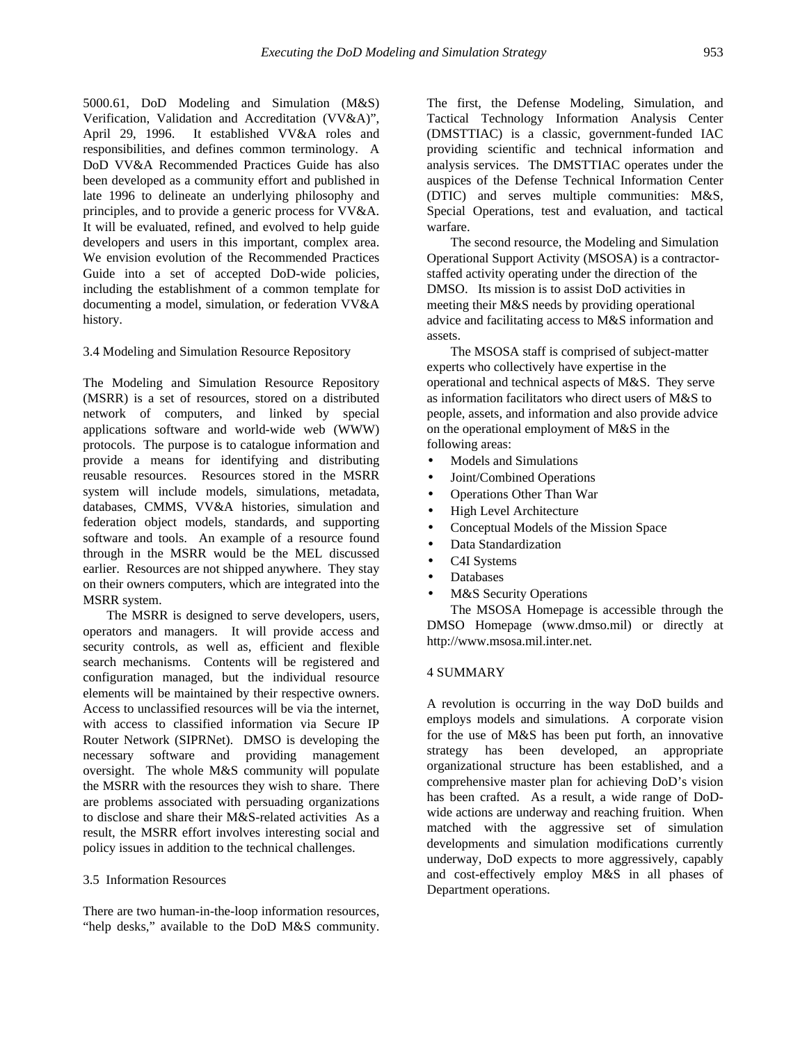5000.61, DoD Modeling and Simulation (M&S) Verification, Validation and Accreditation (VV&A)", April 29, 1996. It established VV&A roles and responsibilities, and defines common terminology. A DoD VV&A Recommended Practices Guide has also been developed as a community effort and published in late 1996 to delineate an underlying philosophy and principles, and to provide a generic process for VV&A. It will be evaluated, refined, and evolved to help guide developers and users in this important, complex area. We envision evolution of the Recommended Practices Guide into a set of accepted DoD-wide policies, including the establishment of a common template for documenting a model, simulation, or federation VV&A history.

### 3.4 Modeling and Simulation Resource Repository

The Modeling and Simulation Resource Repository (MSRR) is a set of resources, stored on a distributed network of computers, and linked by special applications software and world-wide web (WWW) protocols. The purpose is to catalogue information and provide a means for identifying and distributing reusable resources. Resources stored in the MSRR system will include models, simulations, metadata, databases, CMMS, VV&A histories, simulation and federation object models, standards, and supporting software and tools. An example of a resource found through in the MSRR would be the MEL discussed earlier. Resources are not shipped anywhere. They stay on their owners computers, which are integrated into the MSRR system.

The MSRR is designed to serve developers, users, operators and managers. It will provide access and security controls, as well as, efficient and flexible search mechanisms. Contents will be registered and configuration managed, but the individual resource elements will be maintained by their respective owners. Access to unclassified resources will be via the internet, with access to classified information via Secure IP Router Network (SIPRNet). DMSO is developing the necessary software and providing management oversight. The whole M&S community will populate the MSRR with the resources they wish to share. There are problems associated with persuading organizations to disclose and share their M&S-related activities As a result, the MSRR effort involves interesting social and policy issues in addition to the technical challenges.

#### 3.5 Information Resources

There are two human-in-the-loop information resources, "help desks," available to the DoD M&S community.

The first, the Defense Modeling, Simulation, and Tactical Technology Information Analysis Center (DMSTTIAC) is a classic, government-funded IAC providing scientific and technical information and analysis services. The DMSTTIAC operates under the auspices of the Defense Technical Information Center (DTIC) and serves multiple communities: M&S, Special Operations, test and evaluation, and tactical warfare.

The second resource, the Modeling and Simulation Operational Support Activity (MSOSA) is a contractorstaffed activity operating under the direction of the DMSO. Its mission is to assist DoD activities in meeting their M&S needs by providing operational advice and facilitating access to M&S information and assets.

The MSOSA staff is comprised of subject-matter experts who collectively have expertise in the operational and technical aspects of M&S. They serve as information facilitators who direct users of M&S to people, assets, and information and also provide advice on the operational employment of M&S in the following areas:

- Models and Simulations
- Joint/Combined Operations
- Operations Other Than War
- High Level Architecture
- Conceptual Models of the Mission Space
- Data Standardization
- C<sub>4</sub>I Systems
- **Databases**
- M&S Security Operations

The MSOSA Homepage is accessible through the DMSO Homepage (www.dmso.mil) or directly at http://www.msosa.mil.inter.net.

## 4 SUMMARY

A revolution is occurring in the way DoD builds and employs models and simulations. A corporate vision for the use of M&S has been put forth, an innovative strategy has been developed, an appropriate organizational structure has been established, and a comprehensive master plan for achieving DoD's vision has been crafted. As a result, a wide range of DoDwide actions are underway and reaching fruition. When matched with the aggressive set of simulation developments and simulation modifications currently underway, DoD expects to more aggressively, capably and cost-effectively employ M&S in all phases of Department operations.